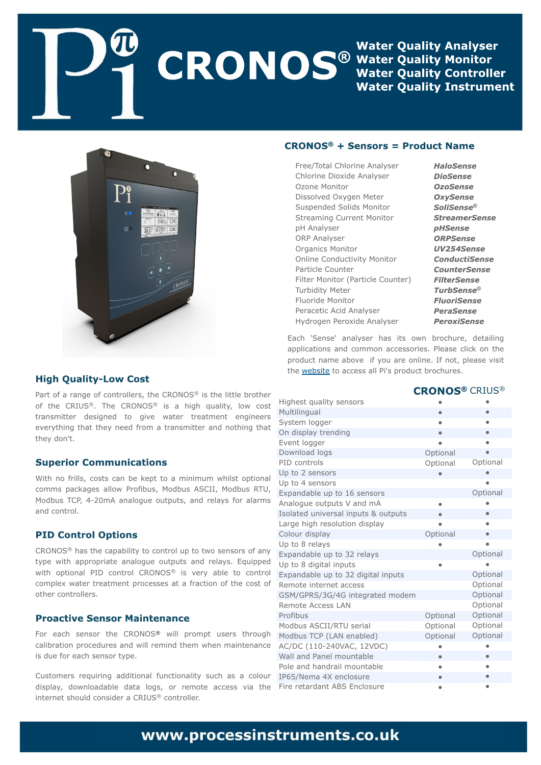Gsf f 0 Ububm Di mosio f Bobmat f s Di masjof Ejpyjef Bobmatfs P{pof Npojups Ejttpm fe Pyzhfo Nfufs Tvt qf oef e Tprjet Npojups Tusf bn joh Dvssf ou Npojups ql Bobmatfs PSQBobmatfs Pshbojdt Npojups Porrof Dpoevduwiuz Npojups **Cosudin** Dpv out s Graf s Npojups ) Cosujdrh Dpvouf s\* Uvscjejuz Nfufs **Gapsjef Npojups** Of sbdf yid Bdje Bobmatfs I zesphf o Qf spyjef Bobmatfs

Fbdi (Tf otf (bobmztfs i bt jut px o cspdivsf- ef ubjrjnoh bqqmdbujpot boe dpn n po bddfttpsjft/ Qmbtf dmdl po uif qspevdu obn f bcpwf jgzpv bsf pomof/ Jgopu- qmbtf wjtju uif xfctjuf up bddftt bmQj(t qspevducspdivsft/

and a state

|                                       |          | DSJVT <sup>u</sup> |
|---------------------------------------|----------|--------------------|
| I jhi fturvbmuz tfotpst               | X        | X                  |
| Nvmimohvbm                            | X        | $\times$           |
| Tztufn mphhfs                         | X        | X                  |
| Po ejt qrbz usf oejoh                 | X        | X                  |
| Fwf ou mphhf s                        | X        | X                  |
| Epx ombe mpht                         | Pqujpobm | X                  |
| QJE dpousprh                          | Pqypobm  | Pqujpobm           |
| Vq up 3 tf ot pst                     | X        | X                  |
| Vq up 5 tf ot pst                     |          | X                  |
| Fygboebcrh vg up 27 tf ot pst         |          | Pqujpobm           |
| Bobmphvf pvugvut Wboen B              | X        | X                  |
| Jt prbufe vojwf st brrjoqvut 'pvuqvut | X        | X                  |
| Moshf i jhi sftpmujpo ejtqmbz         | X        | X                  |
| Dpm vsejt qmbz                        | Pqujpobm | X                  |
| Vq up 9 sf rbzt                       | X        | X                  |
| Fygboebcrh vg up 43 sf rbzt           |          | Pqujpobm           |
| Vq up 9 ejhjubmjogvut                 | X        | X                  |
| Fygboebcrh vg up 43 ejhjubmjogvut     |          | Pqujpobm           |
| Sf n puf jouf sof u bddf t t          |          | Pquipobm           |
| HTN0HQST04H05H jouf hsbufen pefn      |          | Pquipobm           |
| Sf n puf Bddf t tMBO                  |          | Pquipobm           |
| <b>Ospgcvt</b>                        | Pqujpobm | Pqujpobm           |
| Npecvt BTDJJ0SUV tf sjbm              | Pqujpobm | Pquipobm           |
| Npecvt UDQ)MBO fobcrhe*               | Pquipobm | Pqujpobm           |
| BD0ED ) 221.351 VBD-23 VED*           | Х        | X                  |
| X bmboe Coof m pvoubcrh               | X        | X                  |
| Oprh boe i boesbjm pvoubcrh           | X        | X                  |
| JQ760Of n b 5Y f odmpt v sf           | X        | X                  |
| Gsf sf ubsebou BCT Fodmpt v sf        | X        | X                  |
|                                       |          |                    |

Cosupgb sbohf pgdpouspmfist-uif DSPOPT<sup>Œ</sup> jt uif mjumficspuifs pg uif DSJVT<sup>Œ</sup>/ Uif DSPOPT<sup>Œ</sup> jt b ijhi rvbmj**uz**- mpx dptu usbotnjuufs eftjhofe up hjwf xbufs usfbunfou fohjoffst fwfszuijoh uibu uifz offegspn busbotnjuufs boe opuijoh uibu uifzepo(u/

X jui op gsjmn-dptut dbo cf Ifqu up b n jojn vn x i jmu pqujpobm dpn n t qbdl bhft bmpx Qspgcvt- Npecvt BTDJJ- Npecvt SUV-Npecvt UDQ 5.31n B bobmphvf pvunvut-boe sfmbzt gps bmbsn t boe dpouspm

DSPOPT<sup>Œ</sup> i bt ui f dbqbcjmuz up dpouspmvq up ux p tfotpst pgboz wzqf xju bqqspqsjbuf bobmhvf pvwqvut boe sfmbzt/ Frvjqqfe x jui pqujpobm QJE dpouspm DSP OPT<sup>Œ</sup> jt wfsz bcrfn up dpouspm dpn qrfiy x buf s usf bun f ou qspdf ttft bu b gsbdujpo pg uif dptu pg pui f s dpouspmnst /

Gps fbdi tfotps uif DSPOPT<sup>Œ</sup> x jm qspn qu vtfst uispvhi dbrjusbujpo qspdfevsft boe x jmmsfnjoe uifn xifo n bjoufobodf jt evf gosfbdi tfotpsuzqf/

Dvtupn fst sfrvjsjoh beejujpobmgvodujpobrjuz tvdi bt b dprpvs ejtqrbz- epxorpbebcrh ebub rpht- ps sfn puf bddftt wjb uif jouf sof uti pvme dpotjefs b DSJVT<sup>OE</sup> dpouspmfns